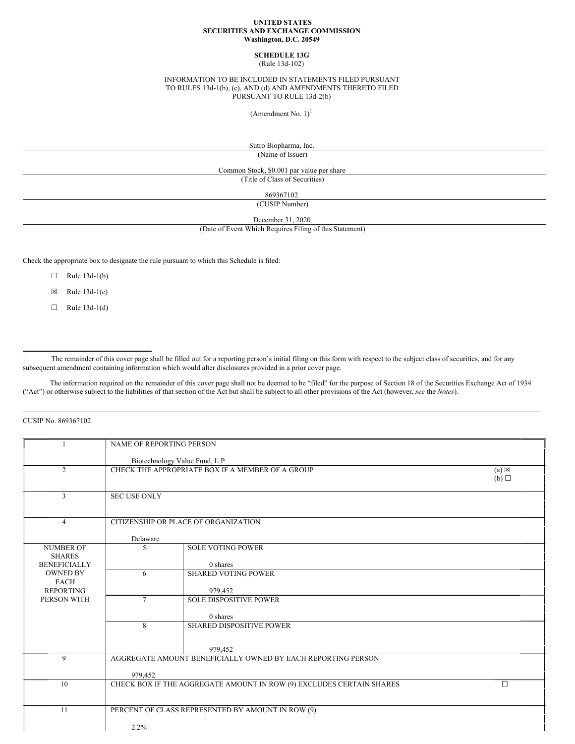#### **UNITED STATES SECURITIES AND EXCHANGE COMMISSION Washington, D.C. 20549**

## **SCHEDULE 13G**

(Rule 13d-102)

### INFORMATION TO BE INCLUDED IN STATEMENTS FILED PURSUANT TO RULES 13d-1(b), (c), AND (d) AND AMENDMENTS THERETO FILED PURSUANT TO RULE 13d-2(b)

(Amendment No.  $1$ )<sup>1</sup>

Sutro Biopharma, Inc.

(Name of Issuer)

Common Stock, \$0.001 par value per share

(Title of Class of Securities)

869367102

(CUSIP Number)

December 31, 2020

(Date of Event Which Requires Filing of this Statement)

Check the appropriate box to designate the rule pursuant to which this Schedule is filed:

- $\Box$  Rule 13d-1(b)
- $\boxtimes$  Rule 13d-1(c)
- $\Box$  Rule 13d-1(d)

<sup>1</sup> The remainder of this cover page shall be filled out for a reporting person's initial filing on this form with respect to the subject class of securities, and for any subsequent amendment containing information which would alter disclosures provided in a prior cover page.

The information required on the remainder of this cover page shall not be deemed to be "filed" for the purpose of Section 18 of the Securities Exchange Act of 1934 ("Act") or otherwise subject to the liabilities of that section of the Act but shall be subject to all other provisions of the Act (however, *see* the *Notes*).

CUSIP No. 869367102

|                                      | <b>NAME OF REPORTING PERSON</b> |                                                                      |                 |
|--------------------------------------|---------------------------------|----------------------------------------------------------------------|-----------------|
|                                      |                                 | Biotechnology Value Fund, L.P.                                       |                 |
| $\overline{2}$                       |                                 | CHECK THE APPROPRIATE BOX IF A MEMBER OF A GROUP                     | $(a) \boxtimes$ |
|                                      |                                 |                                                                      | (b)             |
| 3                                    | <b>SEC USE ONLY</b>             |                                                                      |                 |
|                                      |                                 |                                                                      |                 |
|                                      |                                 |                                                                      |                 |
| $\overline{4}$                       |                                 | CITIZENSHIP OR PLACE OF ORGANIZATION                                 |                 |
|                                      | Delaware                        |                                                                      |                 |
| <b>NUMBER OF</b>                     | 5                               | <b>SOLE VOTING POWER</b>                                             |                 |
| <b>SHARES</b><br><b>BENEFICIALLY</b> |                                 | 0 shares                                                             |                 |
| <b>OWNED BY</b>                      | 6                               | <b>SHARED VOTING POWER</b>                                           |                 |
| <b>EACH</b>                          |                                 |                                                                      |                 |
| <b>REPORTING</b><br>PERSON WITH      | 7                               | 979,452<br><b>SOLE DISPOSITIVE POWER</b>                             |                 |
|                                      |                                 |                                                                      |                 |
|                                      |                                 | 0 shares                                                             |                 |
|                                      | 8                               | <b>SHARED DISPOSITIVE POWER</b>                                      |                 |
|                                      |                                 |                                                                      |                 |
|                                      |                                 | 979,452                                                              |                 |
| 9                                    |                                 | AGGREGATE AMOUNT BENEFICIALLY OWNED BY EACH REPORTING PERSON         |                 |
|                                      | 979,452                         |                                                                      |                 |
| 10                                   |                                 | CHECK BOX IF THE AGGREGATE AMOUNT IN ROW (9) EXCLUDES CERTAIN SHARES | $\Box$          |
|                                      |                                 |                                                                      |                 |
| 11                                   |                                 | PERCENT OF CLASS REPRESENTED BY AMOUNT IN ROW (9)                    |                 |
|                                      |                                 |                                                                      |                 |
|                                      | 2.2%                            |                                                                      |                 |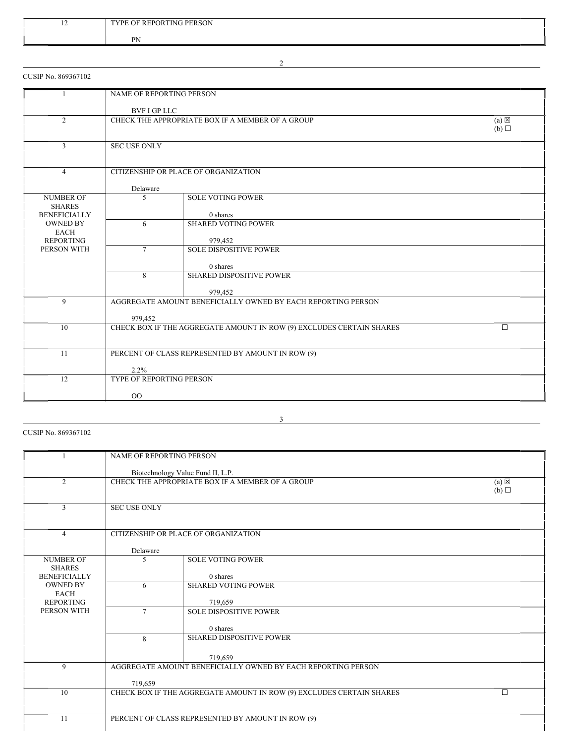| $\overline{1}$ | TYPE OF REPORTING PERSON |
|----------------|--------------------------|
|                | <b>DN</b><br>.           |

CUSIP No. 869367102

|                                   | <b>NAME OF REPORTING PERSON</b>                                     |                                                                      |                 |
|-----------------------------------|---------------------------------------------------------------------|----------------------------------------------------------------------|-----------------|
|                                   | BVF I GP LLC                                                        |                                                                      |                 |
| $\overline{2}$                    | CHECK THE APPROPRIATE BOX IF A MEMBER OF A GROUP<br>$(a) \boxtimes$ |                                                                      |                 |
|                                   |                                                                     |                                                                      | $(b)$ $\square$ |
| $\overline{3}$                    | <b>SEC USE ONLY</b>                                                 |                                                                      |                 |
|                                   |                                                                     |                                                                      |                 |
| $\overline{4}$                    |                                                                     | CITIZENSHIP OR PLACE OF ORGANIZATION                                 |                 |
|                                   | Delaware                                                            |                                                                      |                 |
| <b>NUMBER OF</b><br><b>SHARES</b> | 5                                                                   | <b>SOLE VOTING POWER</b>                                             |                 |
| <b>BENEFICIALLY</b>               |                                                                     | 0 shares                                                             |                 |
| <b>OWNED BY</b><br><b>EACH</b>    | 6                                                                   | <b>SHARED VOTING POWER</b>                                           |                 |
| <b>REPORTING</b>                  |                                                                     | 979,452                                                              |                 |
| PERSON WITH                       | $\tau$                                                              | <b>SOLE DISPOSITIVE POWER</b>                                        |                 |
|                                   |                                                                     | 0 shares                                                             |                 |
|                                   | 8                                                                   | <b>SHARED DISPOSITIVE POWER</b>                                      |                 |
|                                   |                                                                     | 979,452                                                              |                 |
| 9                                 |                                                                     | AGGREGATE AMOUNT BENEFICIALLY OWNED BY EACH REPORTING PERSON         |                 |
|                                   | 979,452                                                             |                                                                      |                 |
| 10                                |                                                                     | CHECK BOX IF THE AGGREGATE AMOUNT IN ROW (9) EXCLUDES CERTAIN SHARES | $\Box$          |
|                                   |                                                                     |                                                                      |                 |
| 11                                |                                                                     | PERCENT OF CLASS REPRESENTED BY AMOUNT IN ROW (9)                    |                 |
|                                   | 2.2%                                                                |                                                                      |                 |
| 12                                | <b>TYPE OF REPORTING PERSON</b>                                     |                                                                      |                 |
|                                   | $_{\rm OO}$                                                         |                                                                      |                 |

CUSIP No. 869367102

|                     | <b>NAME OF REPORTING PERSON</b>                                                                          |                                                                      |                 |
|---------------------|----------------------------------------------------------------------------------------------------------|----------------------------------------------------------------------|-----------------|
|                     |                                                                                                          |                                                                      |                 |
|                     |                                                                                                          |                                                                      |                 |
| $\overline{c}$      | Biotechnology Value Fund II, L.P.<br>CHECK THE APPROPRIATE BOX IF A MEMBER OF A GROUP<br>$(a) \boxtimes$ |                                                                      |                 |
|                     |                                                                                                          |                                                                      |                 |
|                     |                                                                                                          |                                                                      | $(b)$ $\square$ |
| 3                   | <b>SEC USE ONLY</b>                                                                                      |                                                                      |                 |
|                     |                                                                                                          |                                                                      |                 |
|                     |                                                                                                          |                                                                      |                 |
| $\overline{4}$      |                                                                                                          | CITIZENSHIP OR PLACE OF ORGANIZATION                                 |                 |
|                     |                                                                                                          |                                                                      |                 |
|                     | Delaware                                                                                                 |                                                                      |                 |
| <b>NUMBER OF</b>    | 5                                                                                                        | <b>SOLE VOTING POWER</b>                                             |                 |
| <b>SHARES</b>       |                                                                                                          |                                                                      |                 |
| <b>BENEFICIALLY</b> |                                                                                                          | 0 shares                                                             |                 |
| <b>OWNED BY</b>     | 6                                                                                                        | <b>SHARED VOTING POWER</b>                                           |                 |
| <b>EACH</b>         |                                                                                                          |                                                                      |                 |
| <b>REPORTING</b>    |                                                                                                          | 719,659                                                              |                 |
| PERSON WITH         | $\tau$                                                                                                   | <b>SOLE DISPOSITIVE POWER</b>                                        |                 |
|                     |                                                                                                          |                                                                      |                 |
|                     |                                                                                                          | 0 shares                                                             |                 |
|                     | 8                                                                                                        | <b>SHARED DISPOSITIVE POWER</b>                                      |                 |
|                     |                                                                                                          |                                                                      |                 |
|                     |                                                                                                          | 719,659                                                              |                 |
| 9                   |                                                                                                          | AGGREGATE AMOUNT BENEFICIALLY OWNED BY EACH REPORTING PERSON         |                 |
|                     |                                                                                                          |                                                                      |                 |
|                     | 719,659                                                                                                  |                                                                      |                 |
| 10                  |                                                                                                          | CHECK BOX IF THE AGGREGATE AMOUNT IN ROW (9) EXCLUDES CERTAIN SHARES | $\Box$          |
|                     |                                                                                                          |                                                                      |                 |
|                     |                                                                                                          |                                                                      |                 |
| 11                  |                                                                                                          | PERCENT OF CLASS REPRESENTED BY AMOUNT IN ROW (9)                    |                 |
|                     |                                                                                                          |                                                                      |                 |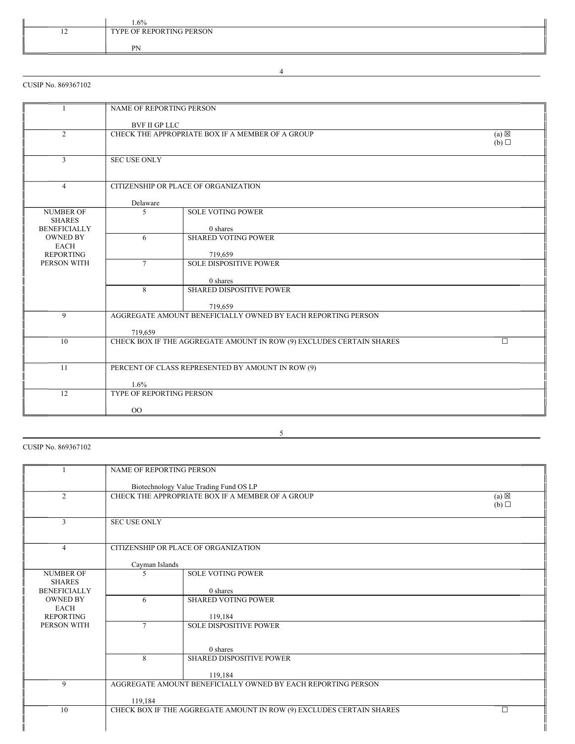|        | $1.6\%$                  |
|--------|--------------------------|
| $\sim$ | TYPE OF REPORTING PERSON |
|        |                          |
|        | PN                       |

CUSIP No. 869367102

|                                                          | NAME OF REPORTING PERSON             |                                                                      |                        |
|----------------------------------------------------------|--------------------------------------|----------------------------------------------------------------------|------------------------|
|                                                          | <b>BVF II GP LLC</b>                 |                                                                      |                        |
| $\overline{2}$                                           |                                      | CHECK THE APPROPRIATE BOX IF A MEMBER OF A GROUP                     | $(a) \boxtimes$<br>(b) |
| 3                                                        | <b>SEC USE ONLY</b>                  |                                                                      |                        |
| $\overline{4}$                                           | CITIZENSHIP OR PLACE OF ORGANIZATION |                                                                      |                        |
|                                                          | Delaware                             |                                                                      |                        |
| <b>NUMBER OF</b><br><b>SHARES</b><br><b>BENEFICIALLY</b> | 5                                    | <b>SOLE VOTING POWER</b><br>0 shares                                 |                        |
| <b>OWNED BY</b><br><b>EACH</b>                           | 6                                    | <b>SHARED VOTING POWER</b>                                           |                        |
| <b>REPORTING</b><br>PERSON WITH                          | $\tau$                               | 719.659<br><b>SOLE DISPOSITIVE POWER</b>                             |                        |
|                                                          |                                      | 0 shares                                                             |                        |
|                                                          | 8                                    | <b>SHARED DISPOSITIVE POWER</b>                                      |                        |
|                                                          |                                      | 719,659                                                              |                        |
| 9                                                        | 719,659                              | AGGREGATE AMOUNT BENEFICIALLY OWNED BY EACH REPORTING PERSON         |                        |
| 10                                                       |                                      | CHECK BOX IF THE AGGREGATE AMOUNT IN ROW (9) EXCLUDES CERTAIN SHARES | $\Box$                 |
| 11                                                       |                                      | PERCENT OF CLASS REPRESENTED BY AMOUNT IN ROW (9)                    |                        |
|                                                          | 1.6%                                 |                                                                      |                        |
| 12                                                       | TYPE OF REPORTING PERSON             |                                                                      |                        |
|                                                          | 00                                   |                                                                      |                        |

5

CUSIP No. 869367102

|                                      | <b>NAME OF REPORTING PERSON</b>                                     |                                                                      |     |
|--------------------------------------|---------------------------------------------------------------------|----------------------------------------------------------------------|-----|
|                                      |                                                                     | Biotechnology Value Trading Fund OS LP                               |     |
| 2                                    | CHECK THE APPROPRIATE BOX IF A MEMBER OF A GROUP<br>$(a) \boxtimes$ |                                                                      |     |
|                                      |                                                                     |                                                                      | (b) |
| 3                                    | <b>SEC USE ONLY</b>                                                 |                                                                      |     |
|                                      |                                                                     |                                                                      |     |
| $\overline{4}$                       |                                                                     | CITIZENSHIP OR PLACE OF ORGANIZATION                                 |     |
|                                      |                                                                     |                                                                      |     |
|                                      | Cayman Islands                                                      |                                                                      |     |
| <b>NUMBER OF</b>                     | $\overline{\phantom{0}}$                                            | <b>SOLE VOTING POWER</b>                                             |     |
| <b>SHARES</b><br><b>BENEFICIALLY</b> |                                                                     | 0 shares                                                             |     |
| <b>OWNED BY</b>                      | 6                                                                   | <b>SHARED VOTING POWER</b>                                           |     |
| <b>EACH</b>                          |                                                                     |                                                                      |     |
| <b>REPORTING</b>                     |                                                                     | 119,184                                                              |     |
| PERSON WITH                          | $\tau$                                                              | <b>SOLE DISPOSITIVE POWER</b>                                        |     |
|                                      |                                                                     |                                                                      |     |
|                                      |                                                                     | 0 shares                                                             |     |
|                                      | 8                                                                   | <b>SHARED DISPOSITIVE POWER</b>                                      |     |
|                                      |                                                                     | 119,184                                                              |     |
| 9                                    | AGGREGATE AMOUNT BENEFICIALLY OWNED BY EACH REPORTING PERSON        |                                                                      |     |
|                                      | 119,184                                                             |                                                                      |     |
| 10                                   |                                                                     | CHECK BOX IF THE AGGREGATE AMOUNT IN ROW (9) EXCLUDES CERTAIN SHARES | П   |
|                                      |                                                                     |                                                                      |     |
|                                      |                                                                     |                                                                      |     |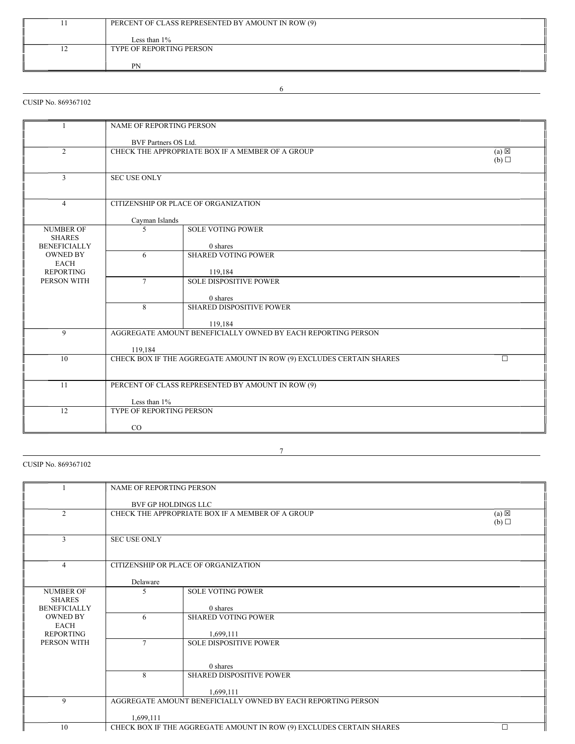|     | PERCENT OF CLASS REPRESENTED BY AMOUNT IN ROW (9) |
|-----|---------------------------------------------------|
|     |                                                   |
|     | Less than $1\%$                                   |
| - ⊥ | TYPE OF REPORTING PERSON                          |
|     |                                                   |
|     | <b>PN</b>                                         |

## CUSIP No. 869367102

|                                      | NAME OF REPORTING PERSON                                                               |                                                                         |   |  |
|--------------------------------------|----------------------------------------------------------------------------------------|-------------------------------------------------------------------------|---|--|
|                                      | BVF Partners OS Ltd.                                                                   |                                                                         |   |  |
| $\overline{2}$                       | CHECK THE APPROPRIATE BOX IF A MEMBER OF A GROUP<br>$(a) \boxtimes$<br>$(b)$ $\square$ |                                                                         |   |  |
|                                      |                                                                                        |                                                                         |   |  |
| 3                                    |                                                                                        | <b>SEC USE ONLY</b>                                                     |   |  |
| $\overline{4}$                       |                                                                                        | CITIZENSHIP OR PLACE OF ORGANIZATION                                    |   |  |
|                                      | Cayman Islands                                                                         |                                                                         |   |  |
| <b>NUMBER OF</b>                     | $\overline{5}$                                                                         | <b>SOLE VOTING POWER</b>                                                |   |  |
| <b>SHARES</b><br><b>BENEFICIALLY</b> |                                                                                        | 0 shares                                                                |   |  |
| <b>OWNED BY</b>                      | 6                                                                                      | <b>SHARED VOTING POWER</b>                                              |   |  |
| <b>EACH</b><br><b>REPORTING</b>      |                                                                                        | 119,184                                                                 |   |  |
| PERSON WITH                          | $\tau$                                                                                 | <b>SOLE DISPOSITIVE POWER</b>                                           |   |  |
|                                      |                                                                                        |                                                                         |   |  |
|                                      | 8                                                                                      | 0 shares<br><b>SHARED DISPOSITIVE POWER</b>                             |   |  |
|                                      |                                                                                        |                                                                         |   |  |
| 9                                    |                                                                                        | 119,184<br>AGGREGATE AMOUNT BENEFICIALLY OWNED BY EACH REPORTING PERSON |   |  |
|                                      |                                                                                        |                                                                         |   |  |
|                                      | 119,184                                                                                |                                                                         |   |  |
| 10                                   |                                                                                        | CHECK BOX IF THE AGGREGATE AMOUNT IN ROW (9) EXCLUDES CERTAIN SHARES    | П |  |
|                                      |                                                                                        |                                                                         |   |  |
| 11                                   |                                                                                        | PERCENT OF CLASS REPRESENTED BY AMOUNT IN ROW (9)                       |   |  |
|                                      | Less than $1\%$                                                                        |                                                                         |   |  |
| 12                                   | <b>TYPE OF REPORTING PERSON</b>                                                        |                                                                         |   |  |
|                                      | $_{\rm CO}$                                                                            |                                                                         |   |  |

## CUSIP No. 869367102

|                     | NAME OF REPORTING PERSON |                                                                      |                 |
|---------------------|--------------------------|----------------------------------------------------------------------|-----------------|
|                     |                          |                                                                      |                 |
|                     |                          | BVF GP HOLDINGS LLC                                                  |                 |
| $\overline{2}$      |                          | CHECK THE APPROPRIATE BOX IF A MEMBER OF A GROUP                     | $(a) \boxtimes$ |
|                     |                          |                                                                      | (b)             |
|                     |                          |                                                                      |                 |
| 3                   | <b>SEC USE ONLY</b>      |                                                                      |                 |
|                     |                          |                                                                      |                 |
|                     |                          |                                                                      |                 |
| $\overline{4}$      |                          | CITIZENSHIP OR PLACE OF ORGANIZATION                                 |                 |
|                     |                          |                                                                      |                 |
|                     | Delaware                 |                                                                      |                 |
| <b>NUMBER OF</b>    | 5                        | <b>SOLE VOTING POWER</b>                                             |                 |
| <b>SHARES</b>       |                          |                                                                      |                 |
| <b>BENEFICIALLY</b> |                          | 0 shares                                                             |                 |
| <b>OWNED BY</b>     | 6                        | <b>SHARED VOTING POWER</b>                                           |                 |
| <b>EACH</b>         |                          |                                                                      |                 |
| <b>REPORTING</b>    |                          | 1,699,111                                                            |                 |
| PERSON WITH         | $\tau$                   | <b>SOLE DISPOSITIVE POWER</b>                                        |                 |
|                     |                          |                                                                      |                 |
|                     |                          |                                                                      |                 |
|                     |                          | 0 shares                                                             |                 |
|                     | 8                        | <b>SHARED DISPOSITIVE POWER</b>                                      |                 |
|                     |                          |                                                                      |                 |
|                     |                          | 1.699.111                                                            |                 |
| 9                   |                          | AGGREGATE AMOUNT BENEFICIALLY OWNED BY EACH REPORTING PERSON         |                 |
|                     |                          |                                                                      |                 |
|                     | 1,699,111                |                                                                      |                 |
| 10                  |                          | CHECK BOX IF THE AGGREGATE AMOUNT IN ROW (9) EXCLUDES CERTAIN SHARES |                 |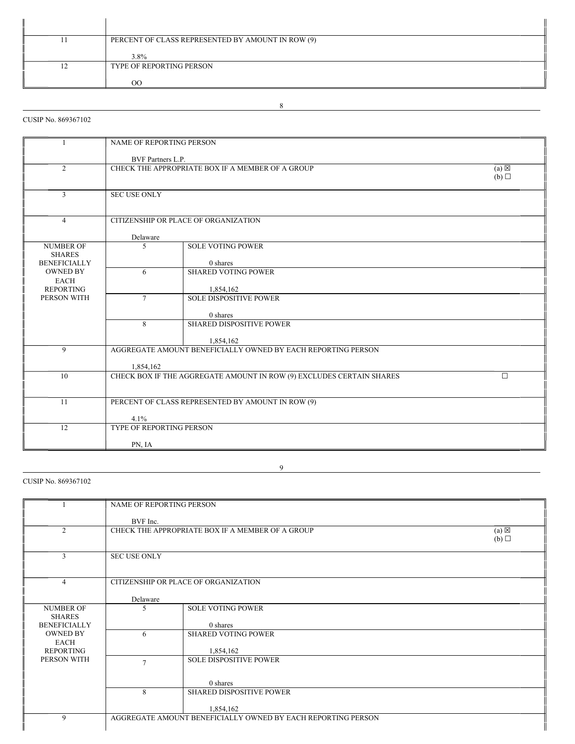|    | PERCENT OF CLASS REPRESENTED BY AMOUNT IN ROW (9) |
|----|---------------------------------------------------|
|    |                                                   |
| 1∠ | 3.8%<br>TYPE OF REPORTING PERSON                  |
|    | OQ                                                |

## CUSIP No. 869367102

| -1                                | <b>NAME OF REPORTING PERSON</b>                                            |                                                                      |   |
|-----------------------------------|----------------------------------------------------------------------------|----------------------------------------------------------------------|---|
|                                   | <b>BVF</b> Partners L.P.                                                   |                                                                      |   |
| $\overline{2}$                    | CHECK THE APPROPRIATE BOX IF A MEMBER OF A GROUP<br>(a)<br>$(b)$ $\square$ |                                                                      |   |
|                                   |                                                                            |                                                                      |   |
| $\overline{3}$                    | <b>SEC USE ONLY</b>                                                        |                                                                      |   |
|                                   |                                                                            |                                                                      |   |
| $\overline{4}$                    |                                                                            | CITIZENSHIP OR PLACE OF ORGANIZATION                                 |   |
|                                   | Delaware                                                                   |                                                                      |   |
| <b>NUMBER OF</b><br><b>SHARES</b> | 5                                                                          | <b>SOLE VOTING POWER</b>                                             |   |
| <b>BENEFICIALLY</b>               |                                                                            | 0 shares                                                             |   |
| <b>OWNED BY</b><br><b>EACH</b>    | 6                                                                          | <b>SHARED VOTING POWER</b>                                           |   |
| <b>REPORTING</b>                  |                                                                            | 1,854,162                                                            |   |
| PERSON WITH                       | $\tau$                                                                     | <b>SOLE DISPOSITIVE POWER</b>                                        |   |
|                                   |                                                                            | 0 shares                                                             |   |
|                                   | 8                                                                          | <b>SHARED DISPOSITIVE POWER</b>                                      |   |
|                                   |                                                                            | 1,854,162                                                            |   |
| $\mathbf{Q}$                      |                                                                            | AGGREGATE AMOUNT BENEFICIALLY OWNED BY EACH REPORTING PERSON         |   |
|                                   | 1,854,162                                                                  |                                                                      |   |
| 10                                |                                                                            | CHECK BOX IF THE AGGREGATE AMOUNT IN ROW (9) EXCLUDES CERTAIN SHARES | П |
|                                   |                                                                            |                                                                      |   |
| 11                                |                                                                            | PERCENT OF CLASS REPRESENTED BY AMOUNT IN ROW (9)                    |   |
|                                   | 4.1%                                                                       |                                                                      |   |
| 12                                | TYPE OF REPORTING PERSON                                                   |                                                                      |   |
|                                   | PN, IA                                                                     |                                                                      |   |

## CUSIP No. 869367102

|                                      | NAME OF REPORTING PERSON                                            |                                                              |  |
|--------------------------------------|---------------------------------------------------------------------|--------------------------------------------------------------|--|
|                                      | BVF Inc.                                                            |                                                              |  |
| $\overline{2}$                       | $(a) \boxtimes$<br>CHECK THE APPROPRIATE BOX IF A MEMBER OF A GROUP |                                                              |  |
|                                      | (b)                                                                 |                                                              |  |
| 3                                    | <b>SEC USE ONLY</b>                                                 |                                                              |  |
|                                      |                                                                     |                                                              |  |
| $\overline{4}$                       | CITIZENSHIP OR PLACE OF ORGANIZATION                                |                                                              |  |
|                                      | Delaware                                                            |                                                              |  |
| <b>NUMBER OF</b>                     | 5                                                                   | <b>SOLE VOTING POWER</b>                                     |  |
| <b>SHARES</b><br><b>BENEFICIALLY</b> |                                                                     | 0 shares                                                     |  |
| <b>OWNED BY</b>                      | 6                                                                   | <b>SHARED VOTING POWER</b>                                   |  |
| EACH<br><b>REPORTING</b>             |                                                                     | 1,854,162                                                    |  |
| PERSON WITH                          | $\overline{7}$                                                      | <b>SOLE DISPOSITIVE POWER</b>                                |  |
|                                      |                                                                     |                                                              |  |
|                                      |                                                                     | $0$ shares                                                   |  |
|                                      | 8                                                                   | <b>SHARED DISPOSITIVE POWER</b>                              |  |
|                                      |                                                                     | 1,854,162                                                    |  |
| 9                                    |                                                                     | AGGREGATE AMOUNT BENEFICIALLY OWNED BY EACH REPORTING PERSON |  |
|                                      |                                                                     |                                                              |  |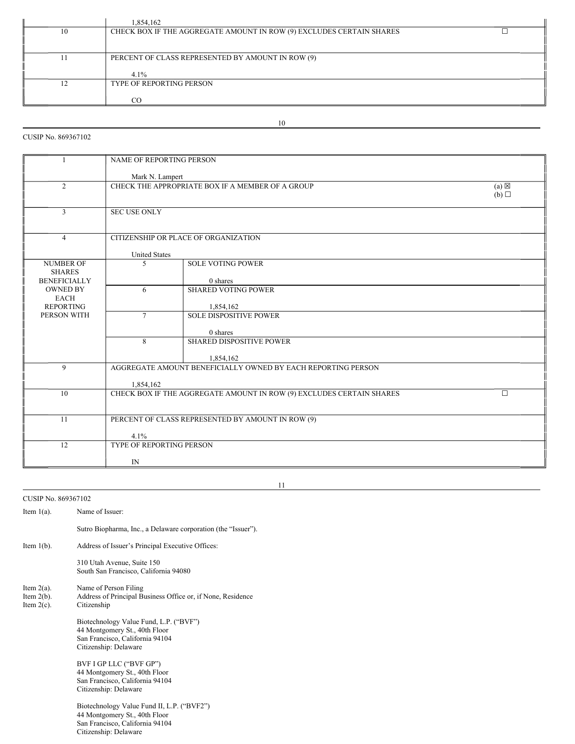|    | 1,854,162                                                            |  |
|----|----------------------------------------------------------------------|--|
| 10 | CHECK BOX IF THE AGGREGATE AMOUNT IN ROW (9) EXCLUDES CERTAIN SHARES |  |
|    | PERCENT OF CLASS REPRESENTED BY AMOUNT IN ROW (9)<br>$4.1\%$         |  |
|    | <b>TYPE OF REPORTING PERSON</b><br>ററ                                |  |

## CUSIP No. 869367102

|                     | NAME OF REPORTING PERSON                                                       |                                                  |                 |  |  |
|---------------------|--------------------------------------------------------------------------------|--------------------------------------------------|-----------------|--|--|
|                     |                                                                                |                                                  |                 |  |  |
|                     |                                                                                | Mark N. Lampert                                  |                 |  |  |
| $\overline{2}$      |                                                                                | CHECK THE APPROPRIATE BOX IF A MEMBER OF A GROUP | $(a) \boxtimes$ |  |  |
|                     |                                                                                |                                                  | (b)             |  |  |
|                     |                                                                                |                                                  |                 |  |  |
| 3                   | <b>SEC USE ONLY</b>                                                            |                                                  |                 |  |  |
|                     |                                                                                |                                                  |                 |  |  |
|                     |                                                                                |                                                  |                 |  |  |
| $\overline{4}$      | CITIZENSHIP OR PLACE OF ORGANIZATION                                           |                                                  |                 |  |  |
|                     |                                                                                |                                                  |                 |  |  |
|                     | <b>United States</b>                                                           |                                                  |                 |  |  |
| <b>NUMBER OF</b>    | $\sim$                                                                         | <b>SOLE VOTING POWER</b>                         |                 |  |  |
| <b>SHARES</b>       |                                                                                |                                                  |                 |  |  |
| <b>BENEFICIALLY</b> |                                                                                | 0 shares                                         |                 |  |  |
| <b>OWNED BY</b>     | <b>SHARED VOTING POWER</b><br>6                                                |                                                  |                 |  |  |
| <b>EACH</b>         |                                                                                |                                                  |                 |  |  |
| <b>REPORTING</b>    | 1,854,162                                                                      |                                                  |                 |  |  |
| PERSON WITH         | $\tau$<br><b>SOLE DISPOSITIVE POWER</b>                                        |                                                  |                 |  |  |
|                     |                                                                                |                                                  |                 |  |  |
|                     | 0 shares                                                                       |                                                  |                 |  |  |
|                     | <b>SHARED DISPOSITIVE POWER</b><br>8                                           |                                                  |                 |  |  |
|                     |                                                                                |                                                  |                 |  |  |
|                     | 1,854,162                                                                      |                                                  |                 |  |  |
| 9                   | AGGREGATE AMOUNT BENEFICIALLY OWNED BY EACH REPORTING PERSON                   |                                                  |                 |  |  |
|                     |                                                                                |                                                  |                 |  |  |
|                     | 1,854,162                                                                      |                                                  |                 |  |  |
| 10                  | CHECK BOX IF THE AGGREGATE AMOUNT IN ROW (9) EXCLUDES CERTAIN SHARES<br>$\Box$ |                                                  |                 |  |  |
|                     |                                                                                |                                                  |                 |  |  |
|                     |                                                                                |                                                  |                 |  |  |
| 11                  | PERCENT OF CLASS REPRESENTED BY AMOUNT IN ROW (9)                              |                                                  |                 |  |  |
|                     |                                                                                |                                                  |                 |  |  |
|                     | 4.1%                                                                           |                                                  |                 |  |  |
| 12                  | <b>TYPE OF REPORTING PERSON</b>                                                |                                                  |                 |  |  |
|                     |                                                                                |                                                  |                 |  |  |
|                     | IN                                                                             |                                                  |                 |  |  |

11

CUSIP No. 869367102

| Item $1(a)$ .                                   | Name of Issuer:                                                                                                                         |
|-------------------------------------------------|-----------------------------------------------------------------------------------------------------------------------------------------|
|                                                 | Sutro Biopharma, Inc., a Delaware corporation (the "Issuer").                                                                           |
| Item $1(b)$ .                                   | Address of Issuer's Principal Executive Offices:                                                                                        |
|                                                 | 310 Utah Avenue, Suite 150<br>South San Francisco, California 94080                                                                     |
| Item $2(a)$ .<br>Item $2(b)$ .<br>Item $2(c)$ . | Name of Person Filing<br>Address of Principal Business Office or, if None, Residence<br>Citizenship                                     |
|                                                 | Biotechnology Value Fund, L.P. ("BVF")<br>44 Montgomery St., 40th Floor<br>San Francisco, California 94104<br>Citizenship: Delaware     |
|                                                 | BVF I GP LLC ("BVF GP")<br>44 Montgomery St., 40th Floor<br>San Francisco, California 94104<br>Citizenship: Delaware                    |
|                                                 | Biotechnology Value Fund II, L.P. ("BVF2")<br>44 Montgomery St., 40th Floor<br>San Francisco, California 94104<br>Citizenship: Delaware |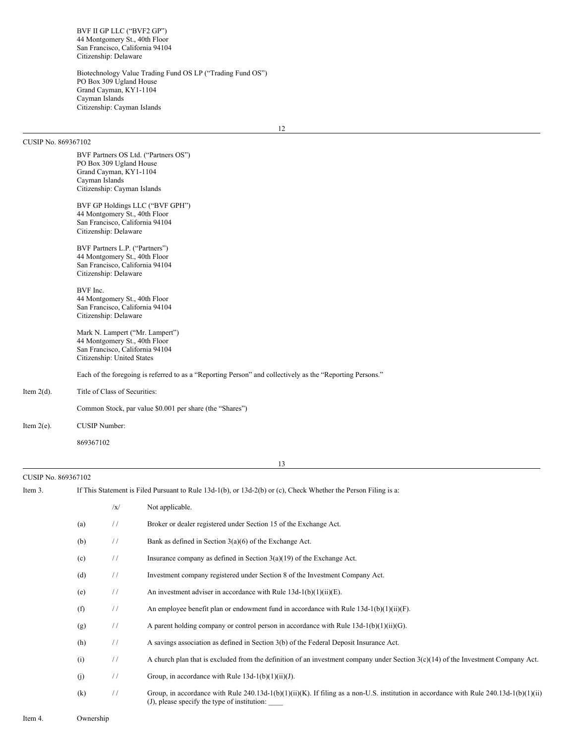BVF II GP LLC ("BVF2 GP") 44 Montgomery St., 40th Floor San Francisco, California 94104 Citizenship: Delaware

Biotechnology Value Trading Fund OS LP ("Trading Fund OS") PO Box 309 Ugland House Grand Cayman, KY1-1104 Cayman Islands Citizenship: Cayman Islands

### CUSIP No. 869367102

BVF Partners OS Ltd. ("Partners OS") PO Box 309 Ugland House Grand Cayman, KY1-1104 Cayman Islands Citizenship: Cayman Islands BVF GP Holdings LLC ("BVF GPH") 44 Montgomery St., 40th Floor San Francisco, California 94104 Citizenship: Delaware BVF Partners L.P. ("Partners") 44 Montgomery St., 40th Floor San Francisco, California 94104 Citizenship: Delaware BVF Inc. 44 Montgomery St., 40th Floor San Francisco, California 94104 Citizenship: Delaware Mark N. Lampert ("Mr. Lampert") 44 Montgomery St., 40th Floor San Francisco, California 94104 Citizenship: United States Each of the foregoing is referred to as a "Reporting Person" and collectively as the "Reporting Persons." Item 2(d). Title of Class of Securities: Common Stock, par value \$0.001 per share (the "Shares")

Item 2(e). CUSIP Number:

CUSIP No. 869367102

869367102

13

# Item 3. If This Statement is Filed Pursuant to Rule 13d-1(b), or 13d-2(b) or (c), Check Whether the Person Filing is a:

|     | /x/           | Not applicable.                                                                                                                                                                        |
|-----|---------------|----------------------------------------------------------------------------------------------------------------------------------------------------------------------------------------|
| (a) | $\frac{1}{2}$ | Broker or dealer registered under Section 15 of the Exchange Act.                                                                                                                      |
| (b) | $\frac{1}{2}$ | Bank as defined in Section $3(a)(6)$ of the Exchange Act.                                                                                                                              |
| (c) | $\frac{1}{2}$ | Insurance company as defined in Section $3(a)(19)$ of the Exchange Act.                                                                                                                |
| (d) | $\frac{1}{2}$ | Investment company registered under Section 8 of the Investment Company Act.                                                                                                           |
| (e) | $\frac{1}{2}$ | An investment adviser in accordance with Rule $13d-1(b)(1)(ii)(E)$ .                                                                                                                   |
| (f) | $\frac{1}{2}$ | An employee benefit plan or endowment fund in accordance with Rule $13d-1(b)(1)(ii)(F)$ .                                                                                              |
| (g) | $\frac{1}{2}$ | A parent holding company or control person in accordance with Rule $13d-1(b)(1)(ii)(G)$ .                                                                                              |
| (h) | $\frac{1}{2}$ | A savings association as defined in Section 3(b) of the Federal Deposit Insurance Act.                                                                                                 |
| (i) | $\frac{1}{2}$ | A church plan that is excluded from the definition of an investment company under Section $3(c)(14)$ of the Investment Company Act.                                                    |
| (i) | $\frac{1}{2}$ | Group, in accordance with Rule $13d-1(b)(1)(ii)(J)$ .                                                                                                                                  |
| (k) | $\frac{1}{2}$ | Group, in accordance with Rule 240.13d-1(b)(1)(ii)(K). If filing as a non-U.S. institution in accordance with Rule 240.13d-1(b)(1)(ii)<br>(J), please specify the type of institution: |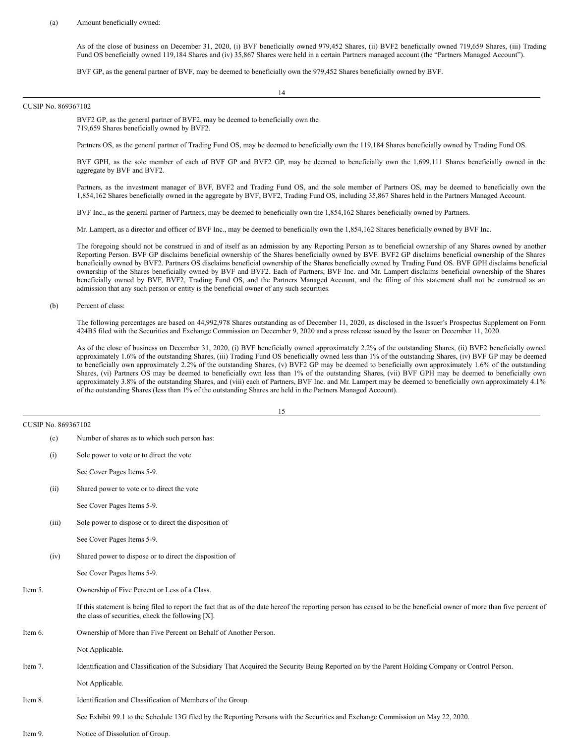#### (a) Amount beneficially owned:

As of the close of business on December 31, 2020, (i) BVF beneficially owned 979,452 Shares, (ii) BVF2 beneficially owned 719,659 Shares, (iii) Trading Fund OS beneficially owned 119,184 Shares and (iv) 35,867 Shares were held in a certain Partners managed account (the "Partners Managed Account").

BVF GP, as the general partner of BVF, may be deemed to beneficially own the 979,452 Shares beneficially owned by BVF.

14

#### CUSIP No. 869367102

BVF2 GP, as the general partner of BVF2, may be deemed to beneficially own the 719,659 Shares beneficially owned by BVF2.

Partners OS, as the general partner of Trading Fund OS, may be deemed to beneficially own the 119,184 Shares beneficially owned by Trading Fund OS.

BVF GPH, as the sole member of each of BVF GP and BVF2 GP, may be deemed to beneficially own the 1,699,111 Shares beneficially owned in the aggregate by BVF and BVF2.

Partners, as the investment manager of BVF, BVF2 and Trading Fund OS, and the sole member of Partners OS, may be deemed to beneficially own the 1,854,162 Shares beneficially owned in the aggregate by BVF, BVF2, Trading Fund OS, including 35,867 Shares held in the Partners Managed Account.

BVF Inc., as the general partner of Partners, may be deemed to beneficially own the 1,854,162 Shares beneficially owned by Partners.

Mr. Lampert, as a director and officer of BVF Inc., may be deemed to beneficially own the 1,854,162 Shares beneficially owned by BVF Inc.

The foregoing should not be construed in and of itself as an admission by any Reporting Person as to beneficial ownership of any Shares owned by another Reporting Person. BVF GP disclaims beneficial ownership of the Shares beneficially owned by BVF. BVF2 GP disclaims beneficial ownership of the Shares beneficially owned by BVF2. Partners OS disclaims beneficial ownership of the Shares beneficially owned by Trading Fund OS. BVF GPH disclaims beneficial ownership of the Shares beneficially owned by BVF and BVF2. Each of Partners, BVF Inc. and Mr. Lampert disclaims beneficial ownership of the Shares beneficially owned by BVF, BVF2, Trading Fund OS, and the Partners Managed Account, and the filing of this statement shall not be construed as an admission that any such person or entity is the beneficial owner of any such securities.

#### (b) Percent of class:

The following percentages are based on 44,992,978 Shares outstanding as of December 11, 2020, as disclosed in the Issuer's Prospectus Supplement on Form 424B5 filed with the Securities and Exchange Commission on December 9, 2020 and a press release issued by the Issuer on December 11, 2020.

As of the close of business on December 31, 2020, (i) BVF beneficially owned approximately 2.2% of the outstanding Shares, (ii) BVF2 beneficially owned approximately 1.6% of the outstanding Shares, (iii) Trading Fund OS beneficially owned less than 1% of the outstanding Shares, (iv) BVF GP may be deemed to beneficially own approximately 2.2% of the outstanding Shares, (v) BVF2 GP may be deemed to beneficially own approximately 1.6% of the outstanding Shares, (vi) Partners OS may be deemed to beneficially own less than 1% of the outstanding Shares, (vii) BVF GPH may be deemed to beneficially own approximately 3.8% of the outstanding Shares, and (viii) each of Partners, BVF Inc. and Mr. Lampert may be deemed to beneficially own approximately 4.1% of the outstanding Shares (less than 1% of the outstanding Shares are held in the Partners Managed Account).

15

CUSIP No. 869367102

(i) Sole power to vote or to direct the vote See Cover Pages Items 5-9.

(c) Number of shares as to which such person has:

(ii) Shared power to vote or to direct the vote

See Cover Pages Items 5-9.

(iii) Sole power to dispose or to direct the disposition of

See Cover Pages Items 5-9.

(iv) Shared power to dispose or to direct the disposition of

See Cover Pages Items 5-9.

Item 5. Ownership of Five Percent or Less of a Class.

If this statement is being filed to report the fact that as of the date hereof the reporting person has ceased to be the beneficial owner of more than five percent of the class of securities, check the following [X].

- Item 6. Ownership of More than Five Percent on Behalf of Another Person.
	- Not Applicable.
- Item 7. Identification and Classification of the Subsidiary That Acquired the Security Being Reported on by the Parent Holding Company or Control Person.

Not Applicable.

Item 8. Identification and Classification of Members of the Group.

See Exhibit 99.1 to the Schedule 13G filed by the Reporting Persons with the Securities and Exchange Commission on May 22, 2020.

Item 9. Notice of Dissolution of Group.